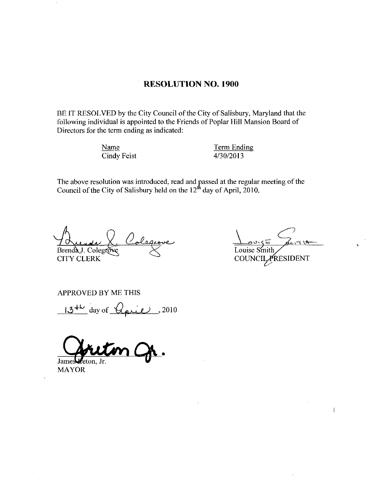### RESOLUTION NO. 1900

BE IT RESOLVED by the City Council of the City of Salisbury, Maryland that the For the ETT KESOLVED by the City Council of the City of Sansbury, Maryland that the following individual is appointed to the Friends of Poplar Hill Mansion Board of Directors for the term ending as indicated:<br>
Name Term En Directors for the term ending as indicated

Name Cindy Feist Term Ending Term Endi<br>4/30/2013

The above resolution was introduced, read and passed at the regular meeting of the Council of the City of Salisbury held on the 12<sup>th</sup> day of April, 2010.

Brenda J. Colegro **RESOLUTI**<br>
v the City Council of t<br>
appointed to the Frie<br>
ending as indicated:<br>
Feist<br>
was introduced, read a<br>
Salisbury held on the<br>
Calaquave

CITY CLERK

 $\bullet$ ar meeting of the<br>0.<br> $\frac{3\sqrt{5}}{2\sqrt{11}}$ <br>CILARESIDENT Louise Smit COUNCIL PRESIDENT

 $\mathbf{I}$ 

APPROVED BY ME THIS

 $13^{+k}$  day of  $\overline{Q}_{\overline{p}^{12}}$ , 2010

Jame reton Ir

MAYOR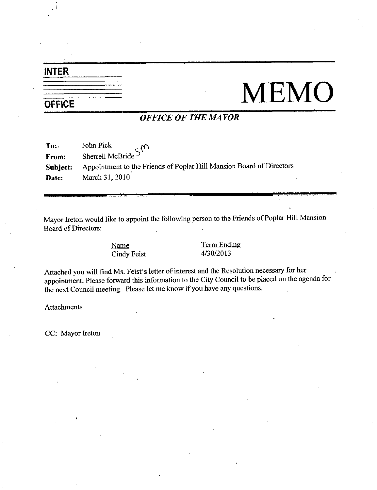## INTER

# $\frac{1}{\sqrt{\text{OFFICE}}}$  MEMO

### OFFICE OF THE MAYOR

| To:      | John Pick<br>Sherrell McBride S <sup>M</sup>                         |
|----------|----------------------------------------------------------------------|
| From:    |                                                                      |
| Subject: | Appointment to the Friends of Poplar Hill Mansion Board of Directors |
| Date:    | March 31, 2010                                                       |

Mayor Ireton would like to appoint the following person to the Friends of Poplar Hill Mansion<br>
Board of Directors:<br>
<u>Name</u><br>
Cindy Feist<br>
4/30/2013 Board of Directors

Name Cindy Feist Term Ending <u>Term Endi</u><br>4/30/2013

Cindy Feist 4/30/2013<br>Attached you will find Ms. Feist's letter of interest and the Resolution necessary for her appointment. Please forward this information to the City Council to be placed on the agenda for the next Council meeting. Please let me know if you have any questions.

**Attachments** 

CC: Mayor Ireton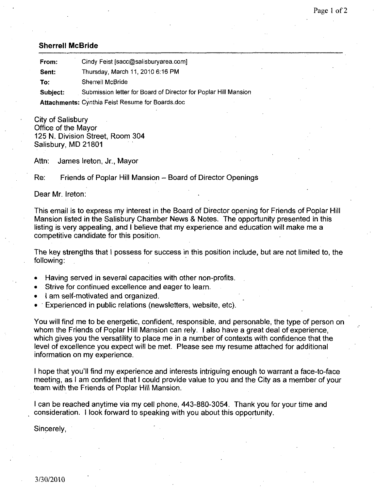### Sherrell McBride

| <b>Sherrell McBride</b> |                                                                 |  |  |  |
|-------------------------|-----------------------------------------------------------------|--|--|--|
| From:                   | Cindy Feist [sacc@salisburyarea.com]                            |  |  |  |
| Sent:                   | Thursday, March 11, 2010 6:16 PM                                |  |  |  |
| To:                     | Sherrell McBride                                                |  |  |  |
| Subject:                | Submission letter for Board of Director for Poplar Hill Mansion |  |  |  |
|                         | Attachments: Cynthia Feist Resume for Boards.doc                |  |  |  |

City of Salisbury Office of the Mayor 125 N. Division Street, Room 304 Salisbury, MD 21801

Attn: James Ireton, Jr., Mayor

Re: Friends of Poplar Hill Mansion – Board of Director Openings

Dear Mr. Ireton:

This email is to express my interest in the Board of Director opening for Friends of Poplar Hill Mansion listed in the Salisbury Chamber News & Notes. The opportunity presented in this listing is very appealing, and I believe that my experience and education will make me a competitive candidate for this position

The key strengths that I possess for success in this position include, but are not limited to, the following

- Having served in several capacities with other non-profits.
- Strive for continued excellence and eager to learn
- I am self-motivated and organized.
- $\bullet$  Experienced in public relations (newsletters, website, etc).

You will find me to be energetic, confident, responsible, and personable, the type of person on whom the Friends of Poplar Hill Mansion can rely. I also have a great deal of experience, which gives you the versatility to place me in <sup>a</sup> number of contexts with confidence that the level of excellence you expect will be met. Please see my resume attached for additional information on my experience whom the Friends of Poplar Hill Mansion can rely. I also have a great deal of experience,<br>which gives you the versatility to place me in a number of contexts with confidence that the<br>level of excellence you expect will be

meeting, as I am confident that I could provide value to you and the City as a member of your team with the Friends of Poplar Hill Mansion

I can be reached anytime via my cell phone, 443-880-3054. Thank you for your time and consideration. I look forward to speaking with you about this opportunity.

Sincerely,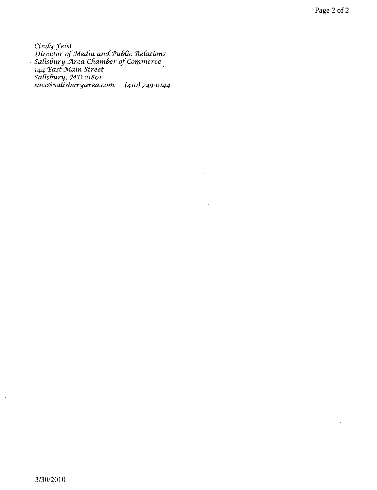Cindy Feist Cinay Feist<br>Director of Media and Public Relations<br>Salisbury Area Chamber of Commerce<br>144 East Main Street<br>Salisbury, MD 21801<br>sacc@salisburyarea.com (410) 749-0144